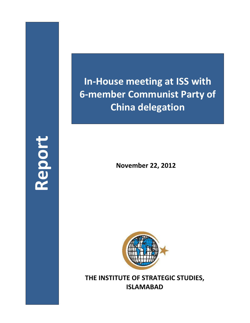## **In-House meeting at ISS with 6-member Communist Party of China delegation**

**Report**

**November 22, 2012**



**THE INSTITUTE OF STRATEGIC STUDIES, ISLAMABAD**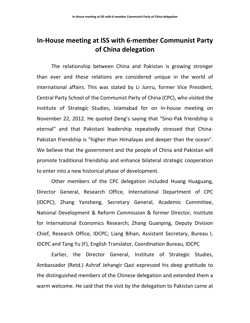## **In-House meeting at ISS with 6-member Communist Party of China delegation**

The relationship between China and Pakistan is growing stronger than ever and these relations are considered unique in the world of international affairs. This was stated by Li Junru, former Vice President, Central Party School of the Communist Party of China (CPC), who visited the Institute of Strategic Studies, Islamabad for on In-house meeting on November 22, 2012. He quoted Deng's saying that "Sino-Pak friendship is eternal" and that Pakistani leadership repeatedly stressed that China-Pakistan friendship is "higher than Himalayas and deeper than the ocean". We believe that the government and the people of China and Pakistan will promote traditional friendship and enhance bilateral strategic cooperation to enter into a new historical phase of development.

Other members of the CPC delegation included Huang Huaguang, Director General, Research Office, International Department of CPC (IDCPC); Zhang Yansheng, Secretary General, Academic Committee, National Development & Reform Commission & former Director, Institute for International Economics Research; Zhang Guanping, Deputy Division Chief, Research Office, IDCPC; Liang Bihan, Assistant Secretary, Bureau I, IDCPC and Tang Yu (F), English Translator, Coordination Bureau, IDCPC

Earlier, the Director General, Institute of Strategic Studies, Ambassador (Retd.) Ashraf Jehangir Qazi expressed his deep gratitude to the distinguished members of the Chinese delegation and extended them a warm welcome. He said that the visit by the delegation to Pakistan came at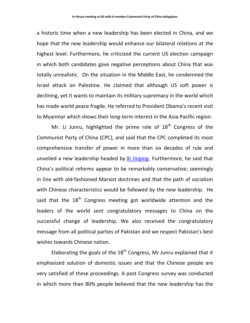a historic time when a new leadership has been elected in China, and we hope that the new leadership would enhance our bilateral relations at the highest level. Furthermore, he criticized the current US election campaign in which both candidates gave negative perceptions about China that was totally unrealistic. On the situation in the Middle East, he condemned the Israel attack on Palestine. He claimed that although US soft power is declining, yet it wants to maintain its military supremacy in the world which has made world peace fragile. He referred to President Obama's recent visit to Myanmar which shows their long-term interest in the Asia-Pacific region.

Mr. Li Junru, highlighted the prime role of  $18<sup>th</sup>$  Congress of the Communist Party of China (CPC), and said that the CPC completed its most comprehensive transfer of power in more than six decades of rule and unveiled a new leadership headed by [Xi Jinping.](http://topics.nytimes.com/top/reference/timestopics/people/x/xi_jinping/index.html?inline=nyt-per) Furthermore, he said that China's political reforms appear to be remarkably conservative; seemingly in line with old-fashioned Marxist doctrines and that the path of socialism with Chinese characteristics would be followed by the new leadership. He said that the  $18<sup>th</sup>$  Congress meeting got worldwide attention and the leaders of the world sent congratulatory messages to China on the successful change of leadership. We also received the congratulatory message from all political parties of Pakistan and we respect Pakistan's best wishes towards Chinese nation.

Elaborating the goals of the  $18<sup>th</sup>$  Congress, Mr Junru explained that it emphasized solution of domestic issues and that the Chinese people are very satisfied of these proceedings. A post Congress survey was conducted in which more than 80% people believed that the new leadership has the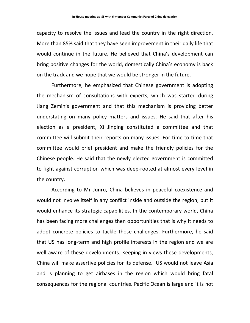capacity to resolve the issues and lead the country in the right direction. More than 85% said that they have seen improvement in their daily life that would continue in the future. He believed that China's development can bring positive changes for the world, domestically China's economy is back on the track and we hope that we would be stronger in the future.

Furthermore, he emphasized that Chinese government is adopting the mechanism of consultations with experts, which was started during Jiang Zemin's government and that this mechanism is providing better understating on many policy matters and issues. He said that after his election as a president, Xi Jinping constituted a committee and that committee will submit their reports on many issues. For time to time that committee would brief president and make the friendly policies for the Chinese people. He said that the newly elected government is committed to fight against corruption which was deep-rooted at almost every level in the country.

According to Mr Junru, China believes in peaceful coexistence and would not involve itself in any conflict inside and outside the region, but it would enhance its strategic capabilities. In the contemporary world, China has been facing more challenges then opportunities that is why it needs to adopt concrete policies to tackle those challenges. Furthermore, he said that US has long-term and high profile interests in the region and we are well aware of these developments. Keeping in views these developments, China will make assertive policies for its defense. US would not leave Asia and is planning to get airbases in the region which would bring fatal consequences for the regional countries. Pacific Ocean is large and it is not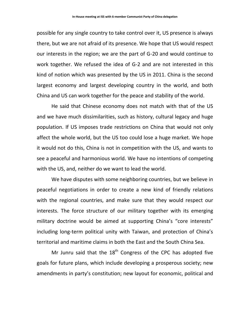possible for any single country to take control over it, US presence is always there, but we are not afraid of its presence. We hope that US would respect our interests in the region; we are the part of G-20 and would continue to work together. We refused the idea of G-2 and are not interested in this kind of notion which was presented by the US in 2011. China is the second largest economy and largest developing country in the world, and both China and US can work together for the peace and stability of the world.

He said that Chinese economy does not match with that of the US and we have much dissimilarities, such as history, cultural legacy and huge population. If US imposes trade restrictions on China that would not only affect the whole world, but the US too could lose a huge market. We hope it would not do this, China is not in competition with the US, and wants to see a peaceful and harmonious world. We have no intentions of competing with the US, and, neither do we want to lead the world.

We have disputes with some neighboring countries, but we believe in peaceful negotiations in order to create a new kind of friendly relations with the regional countries, and make sure that they would respect our interests. The force structure of our military together with its emerging military doctrine would be aimed at supporting China's "core interests" including long-term political unity with Taiwan, and protection of China's territorial and maritime claims in both the East and the South China Sea.

Mr Junru said that the  $18<sup>th</sup>$  Congress of the CPC has adopted five goals for future plans, which include developing a prosperous society; new amendments in party's constitution; new layout for economic, political and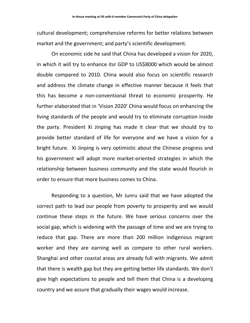cultural development; comprehensive reforms for better relations between market and the government; and party's scientific development.

On economic side he said that China has developed a vision for 2020, in which it will try to enhance itsr GDP to US\$8000 which would be almost double compared to 2010. China would also focus on scientific research and address the climate change in effective manner because it feels that this has become a non-conventional threat to economic prosperity. He further elaborated that in 'Vision 2020' China would focus on enhancing the living standards of the people and would try to eliminate corruption inside the party. President Xi Jinping has made it clear that we should try to provide better standard of life for everyone and we have a vision for a bright future. Xi Jinping is very optimistic about the Chinese progress and his government will adopt more market-oriented strategies in which the relationship between business community and the state would flourish in order to ensure that more business comes to China.

Responding to a question, Mr Junru said that we have adopted the correct path to lead our people from poverty to prosperity and we would continue these steps in the future. We have serious concerns over the social gap, which is widening with the passage of time and we are trying to reduce that gap. There are more than 200 million indigenous migrant worker and they are earning well as compare to other rural workers. Shanghai and other coastal areas are already full with migrants. We admit that there is wealth gap but they are getting better life standards. We don't give high expectations to people and tell them that China is a developing country and we assure that gradually their wages would increase.